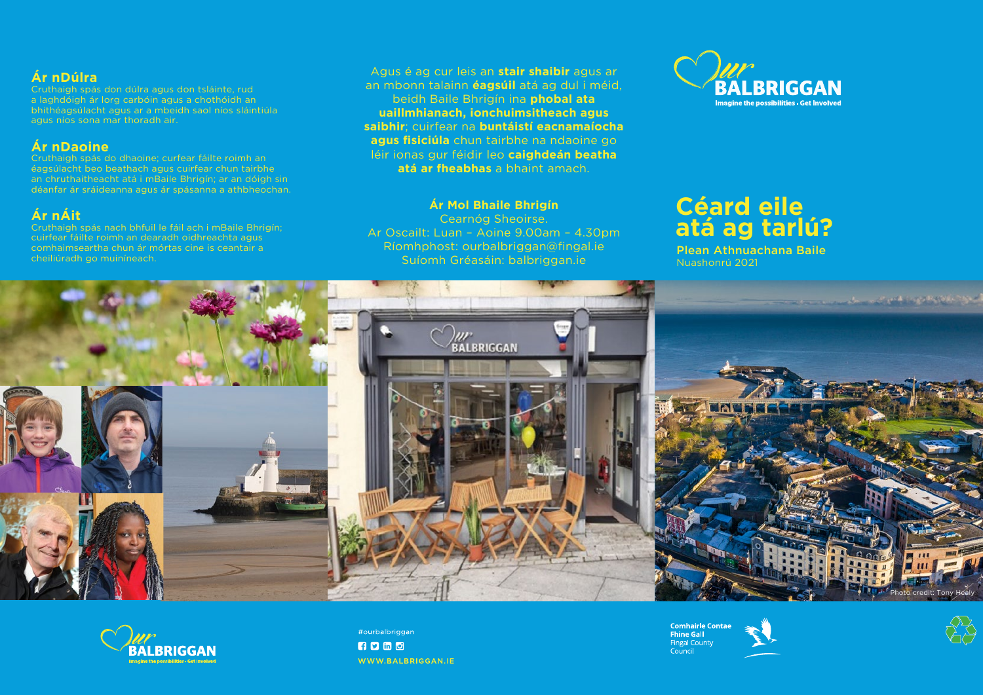# **Céard eile atá ag tarlú?** Plean Athnuachana Baile





Nuashonrú 2021

Agus é ag cur leis an **stair shaibir** agus ar an mbonn talainn **éagsúil** atá ag dul i méid, beidh Baile Bhrigín ina **phobal ata uaillmhianach, ionchuimsitheach agus saibhir**; cuirfear na **buntáistí eacnamaíocha agus fisiciúla** chun tairbhe na ndaoine go léir ionas gur féidir leo **caighdeán beatha atá ar fheabhas** a bhaint amach.

# **Ár Mol Bhaile Bhrigín**

Cearnóg Sheoirse. Ar Oscailt: Luan – Aoine 9.00am – 4.30pm Ríomhphost: ourbalbriggan@fngal.ie Suíomh Gréasáin: balbriggan.ie



# **Ár nDúlra**

Cruthaigh spás don dúlra agus don tsláinte, rud a laghdóigh ár lorg carbóin agus a chothóidh an bhithéagsúlacht agus ar a mbeidh saol níos sláintiúla agus níos sona mar thoradh air.

# **Ár nDaoine**

Cruthaigh spás do dhaoine; curfear fáilte roimh an éagsúlacht beo beathach agus cuirfear chun tairbhe an chruthaitheacht atá i mBaile Bhrigín; ar an dóigh sin déanfar ár sráideanna agus ár spásanna a athbheochan.

# **Ár nÁit**

Cruthaigh spás nach bhfuil le fáil ach i mBaile Bhrigín; cuirfear fáilte roimh an dearadh oidhreachta agus comhaimseartha chun ár mórtas cine is ceantair a cheiliúradh go muiníneach.





#ourbalbriggan **RD m d** WWW.BALBRIGGAN.IE

**Comhairle Contae Fhine Gall Fingal County** Council